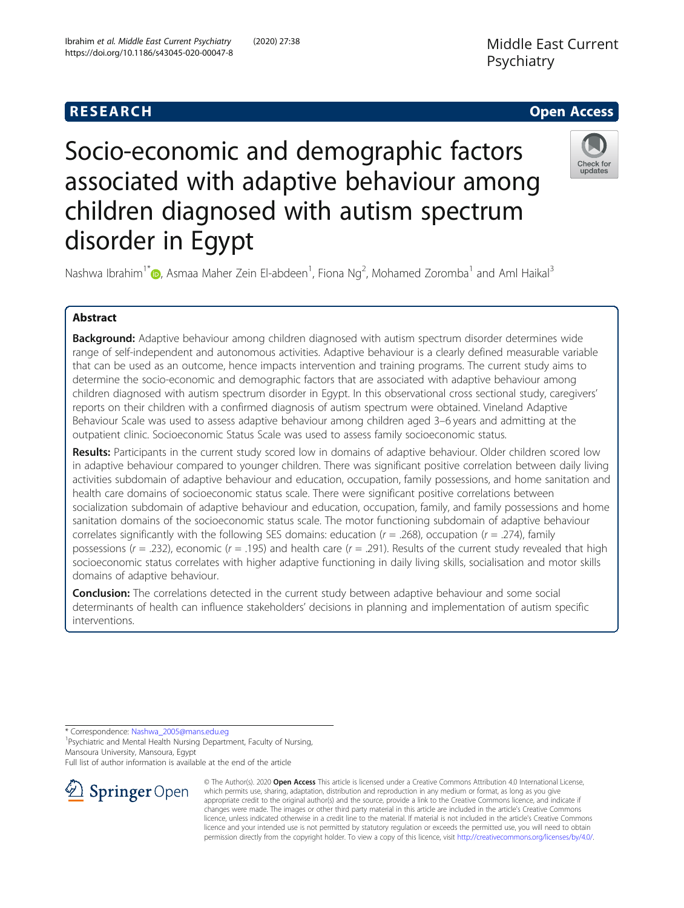

# Socio-economic and demographic factors associated with adaptive behaviour among children diagnosed with autism spectrum disorder in Egypt



Nashwa Ibrahim<sup>1[\\*](http://orcid.org/0000-0002-3375-7451)</sup> $\textsf{D}$ , Asmaa Maher Zein El-abdeen<sup>1</sup>, Fiona Ng<sup>2</sup>, Mohamed Zoromba<sup>1</sup> and Aml Haikal<sup>3</sup>

# Abstract

Background: Adaptive behaviour among children diagnosed with autism spectrum disorder determines wide range of self-independent and autonomous activities. Adaptive behaviour is a clearly defined measurable variable that can be used as an outcome, hence impacts intervention and training programs. The current study aims to determine the socio-economic and demographic factors that are associated with adaptive behaviour among children diagnosed with autism spectrum disorder in Egypt. In this observational cross sectional study, caregivers' reports on their children with a confirmed diagnosis of autism spectrum were obtained. Vineland Adaptive Behaviour Scale was used to assess adaptive behaviour among children aged 3–6 years and admitting at the outpatient clinic. Socioeconomic Status Scale was used to assess family socioeconomic status.

Results: Participants in the current study scored low in domains of adaptive behaviour. Older children scored low in adaptive behaviour compared to younger children. There was significant positive correlation between daily living activities subdomain of adaptive behaviour and education, occupation, family possessions, and home sanitation and health care domains of socioeconomic status scale. There were significant positive correlations between socialization subdomain of adaptive behaviour and education, occupation, family, and family possessions and home sanitation domains of the socioeconomic status scale. The motor functioning subdomain of adaptive behaviour correlates significantly with the following SES domains: education ( $r = .268$ ), occupation ( $r = .274$ ), family possessions ( $r = .232$ ), economic ( $r = .195$ ) and health care ( $r = .291$ ). Results of the current study revealed that high socioeconomic status correlates with higher adaptive functioning in daily living skills, socialisation and motor skills domains of adaptive behaviour.

Conclusion: The correlations detected in the current study between adaptive behaviour and some social determinants of health can influence stakeholders' decisions in planning and implementation of autism specific interventions.

\* Correspondence: [Nashwa\\_2005@mans.edu.eg](mailto:Nashwa_2005@mans.edu.eg) <sup>1</sup>

<sup>1</sup> Psychiatric and Mental Health Nursing Department, Faculty of Nursing, Mansoura University, Mansoura, Egypt

Full list of author information is available at the end of the article



© The Author(s). 2020 Open Access This article is licensed under a Creative Commons Attribution 4.0 International License, which permits use, sharing, adaptation, distribution and reproduction in any medium or format, as long as you give appropriate credit to the original author(s) and the source, provide a link to the Creative Commons licence, and indicate if changes were made. The images or other third party material in this article are included in the article's Creative Commons licence, unless indicated otherwise in a credit line to the material. If material is not included in the article's Creative Commons licence and your intended use is not permitted by statutory regulation or exceeds the permitted use, you will need to obtain permission directly from the copyright holder. To view a copy of this licence, visit <http://creativecommons.org/licenses/by/4.0/>.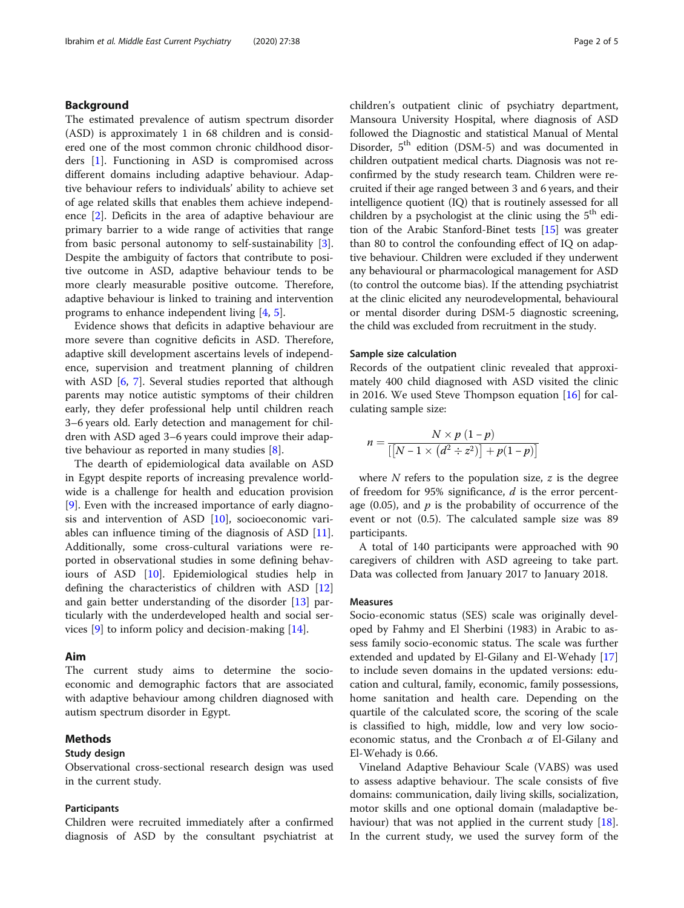# Background

The estimated prevalence of autism spectrum disorder (ASD) is approximately 1 in 68 children and is considered one of the most common chronic childhood disorders [[1\]](#page-4-0). Functioning in ASD is compromised across different domains including adaptive behaviour. Adaptive behaviour refers to individuals' ability to achieve set of age related skills that enables them achieve independence [[2\]](#page-4-0). Deficits in the area of adaptive behaviour are primary barrier to a wide range of activities that range from basic personal autonomy to self-sustainability [\[3](#page-4-0)]. Despite the ambiguity of factors that contribute to positive outcome in ASD, adaptive behaviour tends to be more clearly measurable positive outcome. Therefore, adaptive behaviour is linked to training and intervention programs to enhance independent living [\[4](#page-4-0), [5](#page-4-0)].

Evidence shows that deficits in adaptive behaviour are more severe than cognitive deficits in ASD. Therefore, adaptive skill development ascertains levels of independence, supervision and treatment planning of children with ASD [[6,](#page-4-0) [7\]](#page-4-0). Several studies reported that although parents may notice autistic symptoms of their children early, they defer professional help until children reach 3–6 years old. Early detection and management for children with ASD aged 3–6 years could improve their adaptive behaviour as reported in many studies [\[8](#page-4-0)].

The dearth of epidemiological data available on ASD in Egypt despite reports of increasing prevalence worldwide is a challenge for health and education provision [[9\]](#page-4-0). Even with the increased importance of early diagnosis and intervention of ASD [\[10](#page-4-0)], socioeconomic variables can influence timing of the diagnosis of ASD [\[11](#page-4-0)]. Additionally, some cross-cultural variations were reported in observational studies in some defining behaviours of ASD [[10](#page-4-0)]. Epidemiological studies help in defining the characteristics of children with ASD [[12](#page-4-0)] and gain better understanding of the disorder [[13\]](#page-4-0) particularly with the underdeveloped health and social services [\[9](#page-4-0)] to inform policy and decision-making [[14\]](#page-4-0).

# Aim

The current study aims to determine the socioeconomic and demographic factors that are associated with adaptive behaviour among children diagnosed with autism spectrum disorder in Egypt.

# Methods

# Study design

Observational cross-sectional research design was used in the current study.

#### Participants

Children were recruited immediately after a confirmed diagnosis of ASD by the consultant psychiatrist at

children's outpatient clinic of psychiatry department, Mansoura University Hospital, where diagnosis of ASD followed the Diagnostic and statistical Manual of Mental Disorder, 5<sup>th</sup> edition (DSM-5) and was documented in children outpatient medical charts. Diagnosis was not reconfirmed by the study research team. Children were recruited if their age ranged between 3 and 6 years, and their intelligence quotient (IQ) that is routinely assessed for all children by a psychologist at the clinic using the  $5<sup>th</sup>$  edition of the Arabic Stanford-Binet tests [\[15\]](#page-4-0) was greater than 80 to control the confounding effect of IQ on adaptive behaviour. Children were excluded if they underwent any behavioural or pharmacological management for ASD (to control the outcome bias). If the attending psychiatrist at the clinic elicited any neurodevelopmental, behavioural or mental disorder during DSM-5 diagnostic screening, the child was excluded from recruitment in the study.

### Sample size calculation

Records of the outpatient clinic revealed that approximately 400 child diagnosed with ASD visited the clinic in 2016. We used Steve Thompson equation [\[16\]](#page-4-0) for calculating sample size:

$$
n = \frac{N \times p (1-p)}{\left[\left[N-1 \times \left(d^2 \div z^2\right)\right] + p(1-p)\right]}
$$

where  $N$  refers to the population size,  $z$  is the degree of freedom for 95% significance,  $d$  is the error percentage (0.05), and  $p$  is the probability of occurrence of the event or not (0.5). The calculated sample size was 89 participants.

A total of 140 participants were approached with 90 caregivers of children with ASD agreeing to take part. Data was collected from January 2017 to January 2018.

#### Measures

Socio-economic status (SES) scale was originally developed by Fahmy and El Sherbini (1983) in Arabic to assess family socio-economic status. The scale was further extended and updated by El-Gilany and El-Wehady [[17](#page-4-0)] to include seven domains in the updated versions: education and cultural, family, economic, family possessions, home sanitation and health care. Depending on the quartile of the calculated score, the scoring of the scale is classified to high, middle, low and very low socioeconomic status, and the Cronbach  $\alpha$  of El-Gilany and El-Wehady is 0.66.

Vineland Adaptive Behaviour Scale (VABS) was used to assess adaptive behaviour. The scale consists of five domains: communication, daily living skills, socialization, motor skills and one optional domain (maladaptive behaviour) that was not applied in the current study [\[18](#page-4-0)]. In the current study, we used the survey form of the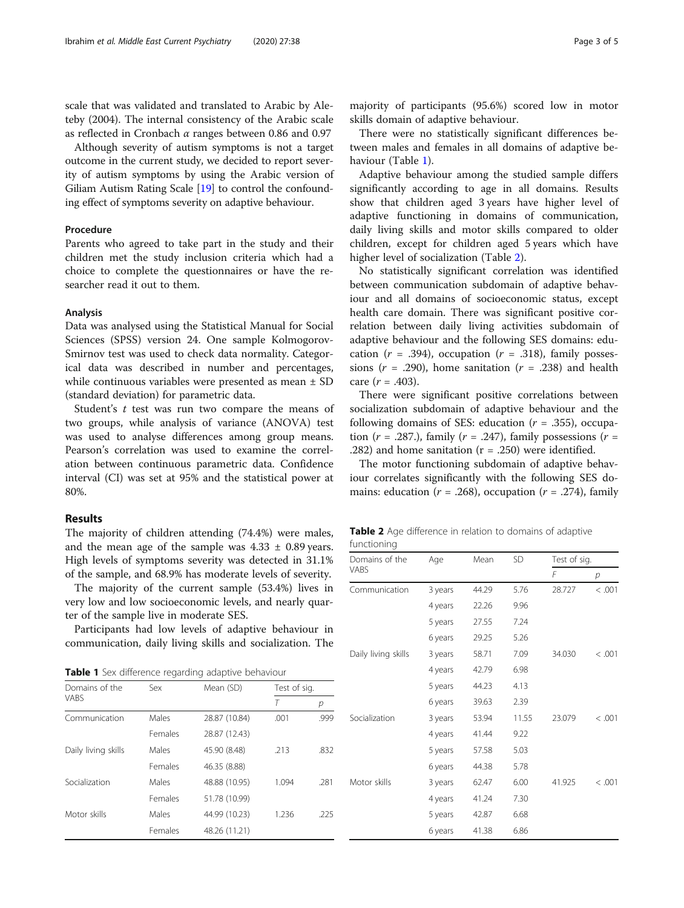scale that was validated and translated to Arabic by Aleteby (2004). The internal consistency of the Arabic scale as reflected in Cronbach  $\alpha$  ranges between 0.86 and 0.97

Although severity of autism symptoms is not a target outcome in the current study, we decided to report severity of autism symptoms by using the Arabic version of Giliam Autism Rating Scale [\[19](#page-4-0)] to control the confounding effect of symptoms severity on adaptive behaviour.

# Procedure

Parents who agreed to take part in the study and their children met the study inclusion criteria which had a choice to complete the questionnaires or have the researcher read it out to them.

#### Analysis

Data was analysed using the Statistical Manual for Social Sciences (SPSS) version 24. One sample Kolmogorov-Smirnov test was used to check data normality. Categorical data was described in number and percentages, while continuous variables were presented as mean ± SD (standard deviation) for parametric data.

Student's  $t$  test was run two compare the means of two groups, while analysis of variance (ANOVA) test was used to analyse differences among group means. Pearson's correlation was used to examine the correlation between continuous parametric data. Confidence interval (CI) was set at 95% and the statistical power at 80%.

# Results

The majority of children attending (74.4%) were males, and the mean age of the sample was  $4.33 \pm 0.89$  years. High levels of symptoms severity was detected in 31.1% of the sample, and 68.9% has moderate levels of severity.

The majority of the current sample (53.4%) lives in very low and low socioeconomic levels, and nearly quarter of the sample live in moderate SES.

Participants had low levels of adaptive behaviour in communication, daily living skills and socialization. The

Table 1 Sex difference regarding adaptive behaviour

| Domains of the      | Sex     | Mean (SD)              | Test of sig.  |      |
|---------------------|---------|------------------------|---------------|------|
| <b>VABS</b>         |         |                        | Т             | р    |
| Communication       | Males   | 28.87 (10.84)          | .001<br>.999  |      |
|                     | Females | 28.87 (12.43)          |               |      |
| Daily living skills | Males   | 45.90 (8.48)<br>.213   |               | .832 |
|                     | Females | 46.35 (8.88)           |               |      |
| Socialization       | Males   | 48.88 (10.95)          | 1.094<br>.281 |      |
|                     | Females | 51.78 (10.99)          |               |      |
| Motor skills        | Males   | 44.99 (10.23)<br>1.236 |               | .225 |
|                     | Females | 48.26 (11.21)          |               |      |

There were no statistically significant differences between males and females in all domains of adaptive behaviour (Table 1).

Adaptive behaviour among the studied sample differs significantly according to age in all domains. Results show that children aged 3 years have higher level of adaptive functioning in domains of communication, daily living skills and motor skills compared to older children, except for children aged 5 years which have higher level of socialization (Table 2).

No statistically significant correlation was identified between communication subdomain of adaptive behaviour and all domains of socioeconomic status, except health care domain. There was significant positive correlation between daily living activities subdomain of adaptive behaviour and the following SES domains: education ( $r = .394$ ), occupation ( $r = .318$ ), family possessions ( $r = .290$ ), home sanitation ( $r = .238$ ) and health care  $(r = .403)$ .

There were significant positive correlations between socialization subdomain of adaptive behaviour and the following domains of SES: education  $(r = .355)$ , occupation ( $r = .287$ .), family ( $r = .247$ ), family possessions ( $r =$ .282) and home sanitation  $(r = .250)$  were identified.

The motor functioning subdomain of adaptive behaviour correlates significantly with the following SES domains: education ( $r = .268$ ), occupation ( $r = .274$ ), family

Table 2 Age difference in relation to domains of adaptive functioning

| Domains of the<br>VABS | Age     | Mean  | <b>SD</b> | Test of sig. |        |
|------------------------|---------|-------|-----------|--------------|--------|
|                        |         |       |           | F            | р      |
| Communication          | 3 years | 44.29 | 5.76      | 28.727       | < .001 |
|                        | 4 years | 22.26 | 9.96      |              |        |
|                        | 5 years | 27.55 | 7.24      |              |        |
|                        | 6 years | 29.25 | 5.26      |              |        |
| Daily living skills    | 3 years | 58.71 | 7.09      | 34.030       | < .001 |
|                        | 4 years | 42.79 | 6.98      |              |        |
|                        | 5 years | 44.23 | 4.13      |              |        |
|                        | 6 years | 39.63 | 2.39      |              |        |
| Socialization          | 3 years | 53.94 | 11.55     | 23.079       | < .001 |
|                        | 4 years | 41.44 | 9.22      |              |        |
|                        | 5 years | 57.58 | 5.03      |              |        |
|                        | 6 years | 44.38 | 5.78      |              |        |
| Motor skills           | 3 years | 62.47 | 6.00      | 41.925       | < .001 |
|                        | 4 years | 41.24 | 7.30      |              |        |
|                        | 5 years | 42.87 | 6.68      |              |        |
|                        | 6 years | 41.38 | 6.86      |              |        |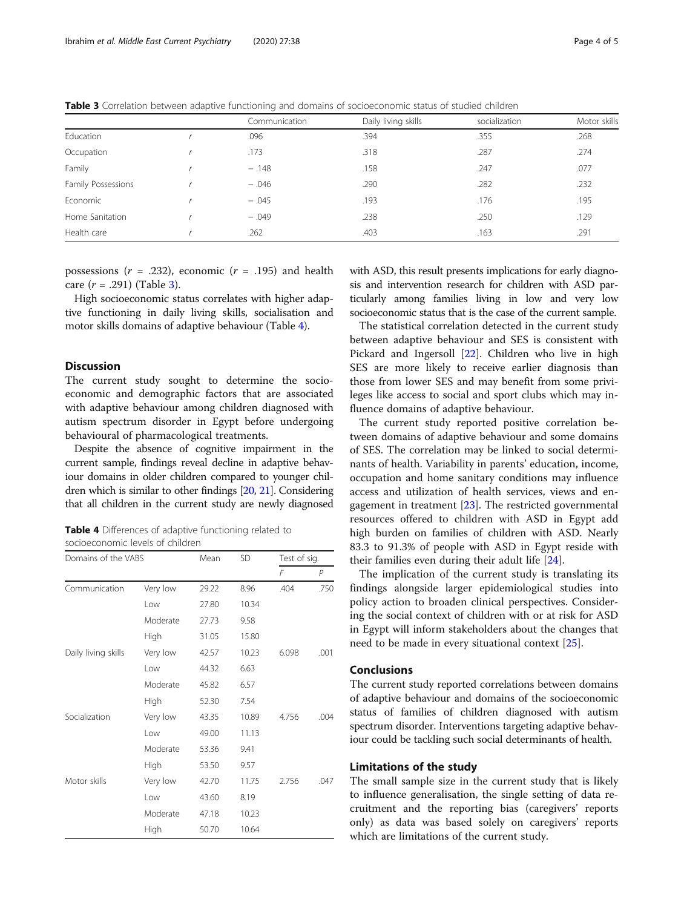Table 3 Correlation between adaptive functioning and domains of socioeconomic status of studied children

|                    | Communication | Daily living skills | socialization | Motor skills |
|--------------------|---------------|---------------------|---------------|--------------|
| Education          | .096          | .394                | .355          | .268         |
| Occupation         | .173          | .318                | .287          | .274         |
| Family             | $-.148$       | .158                | .247          | .077         |
| Family Possessions | $-.046$       | .290                | .282          | .232         |
| Economic           | $-.045$       | .193                | .176          | .195         |
| Home Sanitation    | $-.049$       | .238                | .250          | .129         |
| Health care        | .262          | .403                | .163          | .291         |

possessions  $(r = .232)$ , economic  $(r = .195)$  and health care  $(r = .291)$  (Table 3).

High socioeconomic status correlates with higher adaptive functioning in daily living skills, socialisation and motor skills domains of adaptive behaviour (Table 4).

# Discussion

The current study sought to determine the socioeconomic and demographic factors that are associated with adaptive behaviour among children diagnosed with autism spectrum disorder in Egypt before undergoing behavioural of pharmacological treatments.

Despite the absence of cognitive impairment in the current sample, findings reveal decline in adaptive behaviour domains in older children compared to younger children which is similar to other findings [\[20](#page-4-0), [21](#page-4-0)]. Considering that all children in the current study are newly diagnosed

Table 4 Differences of adaptive functioning related to socioeconomic levels of children

| Domains of the VABS |          | Mean  | <b>SD</b> | Test of sig. |      |
|---------------------|----------|-------|-----------|--------------|------|
|                     |          |       |           | F            | P    |
| Communication       | Very low | 29.22 | 8.96      | .404         | .750 |
|                     | Low      | 27.80 | 10.34     |              |      |
|                     | Moderate | 27.73 | 9.58      |              |      |
|                     | High     | 31.05 | 15.80     |              |      |
| Daily living skills | Very low | 42.57 | 10.23     | 6.098        | .001 |
|                     | l ow     | 44.32 | 6.63      |              |      |
|                     | Moderate | 45.82 | 6.57      |              |      |
|                     | High     | 52.30 | 7.54      |              |      |
| Socialization       | Very low | 43.35 | 10.89     | 4.756        | .004 |
|                     | l ow     | 49.00 | 11.13     |              |      |
|                     | Moderate | 53.36 | 9.41      |              |      |
|                     | High     | 53.50 | 9.57      |              |      |
| Motor skills        | Very low | 42.70 | 11.75     | 2.756        | .047 |
|                     | l ow     | 43.60 | 8.19      |              |      |
|                     | Moderate | 47.18 | 10.23     |              |      |
|                     | High     | 50.70 | 10.64     |              |      |

with ASD, this result presents implications for early diagnosis and intervention research for children with ASD particularly among families living in low and very low socioeconomic status that is the case of the current sample.

The statistical correlation detected in the current study between adaptive behaviour and SES is consistent with Pickard and Ingersoll [[22](#page-4-0)]. Children who live in high SES are more likely to receive earlier diagnosis than those from lower SES and may benefit from some privileges like access to social and sport clubs which may influence domains of adaptive behaviour.

The current study reported positive correlation between domains of adaptive behaviour and some domains of SES. The correlation may be linked to social determinants of health. Variability in parents' education, income, occupation and home sanitary conditions may influence access and utilization of health services, views and engagement in treatment [\[23\]](#page-4-0). The restricted governmental resources offered to children with ASD in Egypt add high burden on families of children with ASD. Nearly 83.3 to 91.3% of people with ASD in Egypt reside with their families even during their adult life [[24](#page-4-0)].

The implication of the current study is translating its findings alongside larger epidemiological studies into policy action to broaden clinical perspectives. Considering the social context of children with or at risk for ASD in Egypt will inform stakeholders about the changes that need to be made in every situational context [\[25\]](#page-4-0).

# Conclusions

The current study reported correlations between domains of adaptive behaviour and domains of the socioeconomic status of families of children diagnosed with autism spectrum disorder. Interventions targeting adaptive behaviour could be tackling such social determinants of health.

#### Limitations of the study

The small sample size in the current study that is likely to influence generalisation, the single setting of data recruitment and the reporting bias (caregivers' reports only) as data was based solely on caregivers' reports which are limitations of the current study.